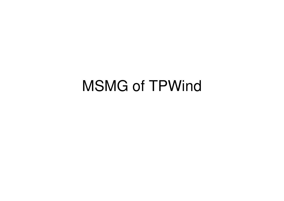## MSMG of TPWind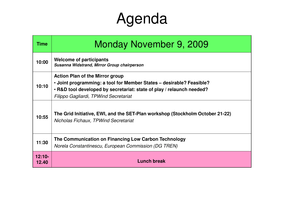## Agenda

| <b>Time</b>       | Monday November 9, 2009                                                                                                                                                                                                          |
|-------------------|----------------------------------------------------------------------------------------------------------------------------------------------------------------------------------------------------------------------------------|
| 10:00             | <b>Welcome of participants</b><br>Susanna Widstrand, Mirror Group chairperson                                                                                                                                                    |
| 10:10             | <b>Action Plan of the Mirror group</b><br>• Joint programming: a tool for Member States – desirable? Feasible?<br>. R&D tool developed by secretariat: state of play / relaunch needed?<br>Filippo Gagliardi, TPWind Secretariat |
| 10:55             | The Grid Initiative, EWI, and the SET-Plan workshop (Stockholm October 21-22)<br>Nicholas Fichaux, TPWind Secretariat                                                                                                            |
| 11:30             | The Communication on Financing Low Carbon Technology<br>Norela Constantinescu, European Commission (DG TREN)                                                                                                                     |
| $12:10-$<br>12.40 | <b>Lunch break</b>                                                                                                                                                                                                               |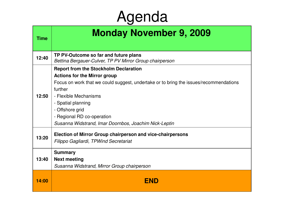## Agenda

| <b>Time</b> | <b>Monday November 9, 2009</b>                                                                                                                                                                                                                                                                                                                   |
|-------------|--------------------------------------------------------------------------------------------------------------------------------------------------------------------------------------------------------------------------------------------------------------------------------------------------------------------------------------------------|
| 12:40       | TP PV-Outcome so far and future plans<br>Bettina Bergauer-Culver, TP PV Mirror Group chairperson                                                                                                                                                                                                                                                 |
| 12:50       | <b>Report from the Stockholm Declaration</b><br><b>Actions for the Mirror group</b><br>Focus on work that we could suggest, undertake or to bring the issues/recommendations<br>further<br>- Flexible Mechanisms<br>- Spatial planning<br>- Offshore grid<br>- Regional RD co-operation<br>Susanna Widstrand, Imar Doornbos, Joachim Nick-Leptin |
| 13:20       | Election of Mirror Group chairperson and vice-chairpersons<br>Filippo Gagliardi, TPWind Secretariat                                                                                                                                                                                                                                              |
| 13:40       | <b>Summary</b><br><b>Next meeting</b><br>Susanna Widstrand, Mirror Group chairperson                                                                                                                                                                                                                                                             |
| 14:00       | <b>END</b>                                                                                                                                                                                                                                                                                                                                       |